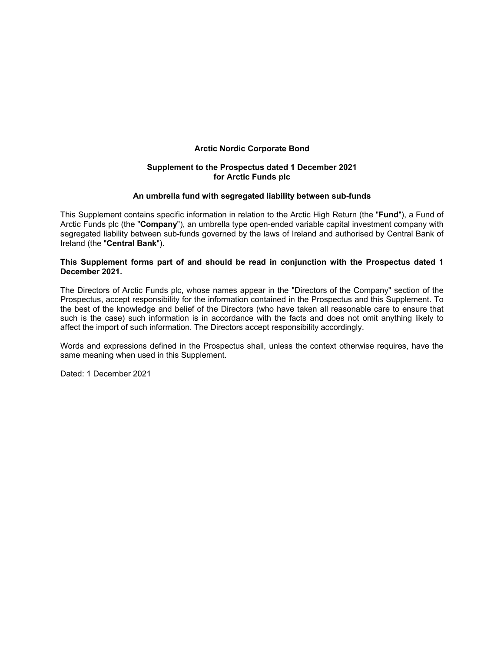# **Arctic Nordic Corporate Bond**

# **Supplement to the Prospectus dated 1 December 2021 for Arctic Funds plc**

# **An umbrella fund with segregated liability between sub-funds**

This Supplement contains specific information in relation to the Arctic High Return (the "**Fund**"), a Fund of Arctic Funds plc (the "**Company**"), an umbrella type open-ended variable capital investment company with segregated liability between sub-funds governed by the laws of Ireland and authorised by Central Bank of Ireland (the "**Central Bank**").

# **This Supplement forms part of and should be read in conjunction with the Prospectus dated 1 December 2021.**

The Directors of Arctic Funds plc, whose names appear in the "Directors of the Company" section of the Prospectus, accept responsibility for the information contained in the Prospectus and this Supplement. To the best of the knowledge and belief of the Directors (who have taken all reasonable care to ensure that such is the case) such information is in accordance with the facts and does not omit anything likely to affect the import of such information. The Directors accept responsibility accordingly.

Words and expressions defined in the Prospectus shall, unless the context otherwise requires, have the same meaning when used in this Supplement.

Dated: 1 December 2021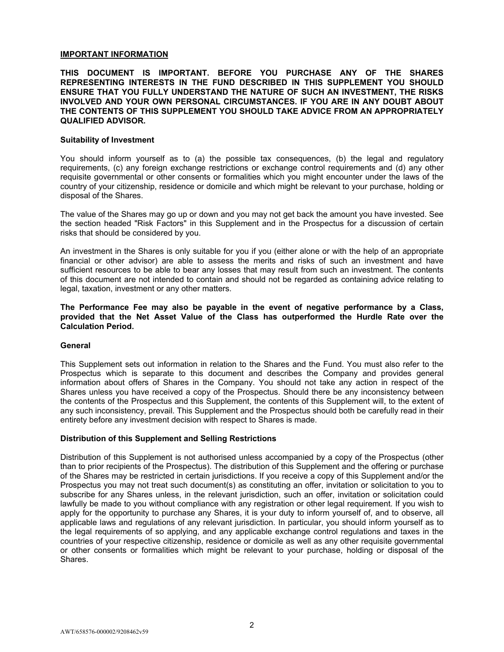# **IMPORTANT INFORMATION**

# **THIS DOCUMENT IS IMPORTANT. BEFORE YOU PURCHASE ANY OF THE SHARES REPRESENTING INTERESTS IN THE FUND DESCRIBED IN THIS SUPPLEMENT YOU SHOULD ENSURE THAT YOU FULLY UNDERSTAND THE NATURE OF SUCH AN INVESTMENT, THE RISKS INVOLVED AND YOUR OWN PERSONAL CIRCUMSTANCES. IF YOU ARE IN ANY DOUBT ABOUT THE CONTENTS OF THIS SUPPLEMENT YOU SHOULD TAKE ADVICE FROM AN APPROPRIATELY QUALIFIED ADVISOR.**

## **Suitability of Investment**

You should inform yourself as to (a) the possible tax consequences, (b) the legal and regulatory requirements, (c) any foreign exchange restrictions or exchange control requirements and (d) any other requisite governmental or other consents or formalities which you might encounter under the laws of the country of your citizenship, residence or domicile and which might be relevant to your purchase, holding or disposal of the Shares.

The value of the Shares may go up or down and you may not get back the amount you have invested. See the section headed "Risk Factors" in this Supplement and in the Prospectus for a discussion of certain risks that should be considered by you.

An investment in the Shares is only suitable for you if you (either alone or with the help of an appropriate financial or other advisor) are able to assess the merits and risks of such an investment and have sufficient resources to be able to bear any losses that may result from such an investment. The contents of this document are not intended to contain and should not be regarded as containing advice relating to legal, taxation, investment or any other matters.

**The Performance Fee may also be payable in the event of negative performance by a Class, provided that the Net Asset Value of the Class has outperformed the Hurdle Rate over the Calculation Period.** 

## **General**

This Supplement sets out information in relation to the Shares and the Fund. You must also refer to the Prospectus which is separate to this document and describes the Company and provides general information about offers of Shares in the Company. You should not take any action in respect of the Shares unless you have received a copy of the Prospectus. Should there be any inconsistency between the contents of the Prospectus and this Supplement, the contents of this Supplement will, to the extent of any such inconsistency, prevail. This Supplement and the Prospectus should both be carefully read in their entirety before any investment decision with respect to Shares is made.

## **Distribution of this Supplement and Selling Restrictions**

Distribution of this Supplement is not authorised unless accompanied by a copy of the Prospectus (other than to prior recipients of the Prospectus). The distribution of this Supplement and the offering or purchase of the Shares may be restricted in certain jurisdictions. If you receive a copy of this Supplement and/or the Prospectus you may not treat such document(s) as constituting an offer, invitation or solicitation to you to subscribe for any Shares unless, in the relevant jurisdiction, such an offer, invitation or solicitation could lawfully be made to you without compliance with any registration or other legal requirement. If you wish to apply for the opportunity to purchase any Shares, it is your duty to inform yourself of, and to observe, all applicable laws and regulations of any relevant jurisdiction. In particular, you should inform yourself as to the legal requirements of so applying, and any applicable exchange control regulations and taxes in the countries of your respective citizenship, residence or domicile as well as any other requisite governmental or other consents or formalities which might be relevant to your purchase, holding or disposal of the Shares.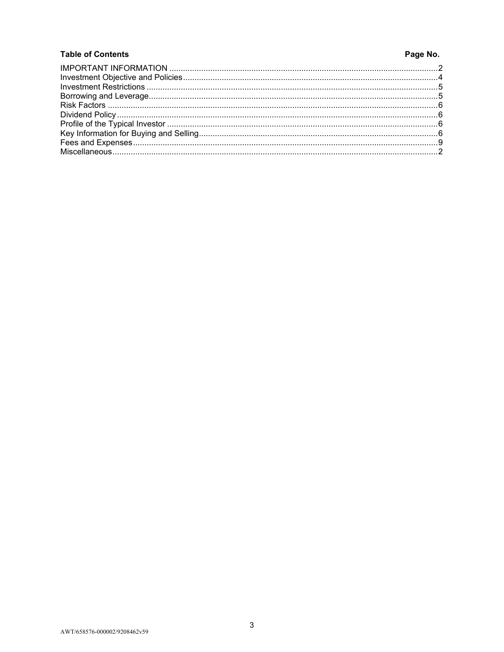# **Table of Contents**

# Page No.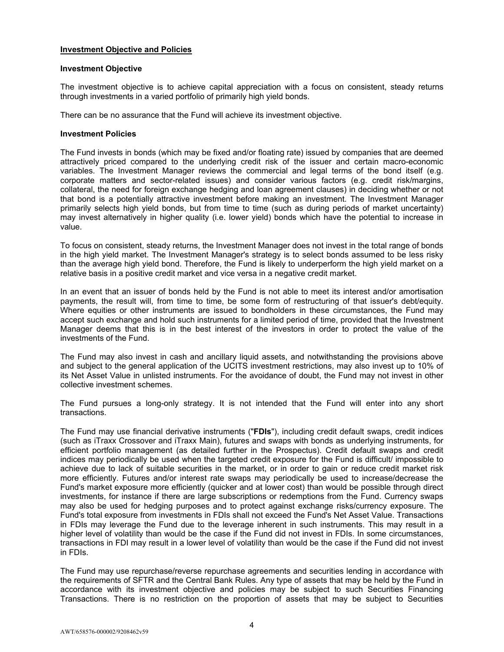# **Investment Objective and Policies**

## **Investment Objective**

The investment objective is to achieve capital appreciation with a focus on consistent, steady returns through investments in a varied portfolio of primarily high yield bonds.

There can be no assurance that the Fund will achieve its investment objective.

## **Investment Policies**

The Fund invests in bonds (which may be fixed and/or floating rate) issued by companies that are deemed attractively priced compared to the underlying credit risk of the issuer and certain macro-economic variables. The Investment Manager reviews the commercial and legal terms of the bond itself (e.g. corporate matters and sector-related issues) and consider various factors (e.g. credit risk/margins, collateral, the need for foreign exchange hedging and loan agreement clauses) in deciding whether or not that bond is a potentially attractive investment before making an investment. The Investment Manager primarily selects high yield bonds, but from time to time (such as during periods of market uncertainty) may invest alternatively in higher quality (i.e. lower yield) bonds which have the potential to increase in value.

To focus on consistent, steady returns, the Investment Manager does not invest in the total range of bonds in the high yield market. The Investment Manager's strategy is to select bonds assumed to be less risky than the average high yield bond. Therefore, the Fund is likely to underperform the high yield market on a relative basis in a positive credit market and vice versa in a negative credit market.

In an event that an issuer of bonds held by the Fund is not able to meet its interest and/or amortisation payments, the result will, from time to time, be some form of restructuring of that issuer's debt/equity. Where equities or other instruments are issued to bondholders in these circumstances, the Fund may accept such exchange and hold such instruments for a limited period of time, provided that the Investment Manager deems that this is in the best interest of the investors in order to protect the value of the investments of the Fund.

The Fund may also invest in cash and ancillary liquid assets, and notwithstanding the provisions above and subject to the general application of the UCITS investment restrictions, may also invest up to 10% of its Net Asset Value in unlisted instruments. For the avoidance of doubt, the Fund may not invest in other collective investment schemes.

The Fund pursues a long-only strategy. It is not intended that the Fund will enter into any short transactions.

The Fund may use financial derivative instruments ("**FDIs**"), including credit default swaps, credit indices (such as iTraxx Crossover and iTraxx Main), futures and swaps with bonds as underlying instruments, for efficient portfolio management (as detailed further in the Prospectus). Credit default swaps and credit indices may periodically be used when the targeted credit exposure for the Fund is difficult/ impossible to achieve due to lack of suitable securities in the market, or in order to gain or reduce credit market risk more efficiently. Futures and/or interest rate swaps may periodically be used to increase/decrease the Fund's market exposure more efficiently (quicker and at lower cost) than would be possible through direct investments, for instance if there are large subscriptions or redemptions from the Fund. Currency swaps may also be used for hedging purposes and to protect against exchange risks/currency exposure. The Fund's total exposure from investments in FDIs shall not exceed the Fund's Net Asset Value. Transactions in FDIs may leverage the Fund due to the leverage inherent in such instruments. This may result in a higher level of volatility than would be the case if the Fund did not invest in FDIs. In some circumstances, transactions in FDI may result in a lower level of volatility than would be the case if the Fund did not invest in FDIs.

The Fund may use repurchase/reverse repurchase agreements and securities lending in accordance with the requirements of SFTR and the Central Bank Rules. Any type of assets that may be held by the Fund in accordance with its investment objective and policies may be subject to such Securities Financing Transactions. There is no restriction on the proportion of assets that may be subject to Securities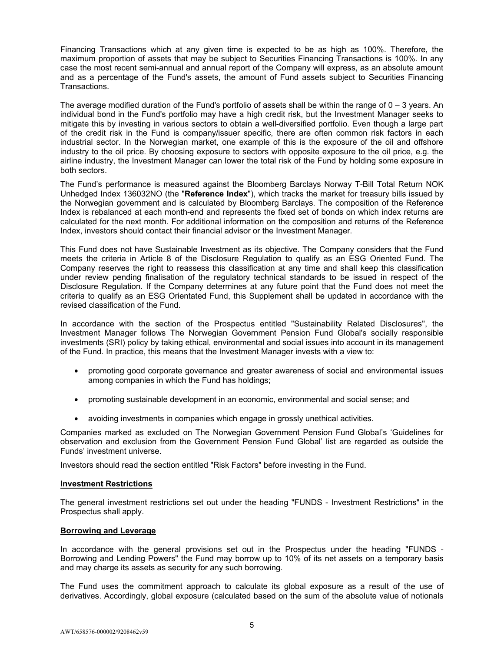Financing Transactions which at any given time is expected to be as high as 100%. Therefore, the maximum proportion of assets that may be subject to Securities Financing Transactions is 100%. In any case the most recent semi-annual and annual report of the Company will express, as an absolute amount and as a percentage of the Fund's assets, the amount of Fund assets subject to Securities Financing Transactions.

The average modified duration of the Fund's portfolio of assets shall be within the range of  $0 - 3$  years. An individual bond in the Fund's portfolio may have a high credit risk, but the Investment Manager seeks to mitigate this by investing in various sectors to obtain a well-diversified portfolio. Even though a large part of the credit risk in the Fund is company/issuer specific, there are often common risk factors in each industrial sector. In the Norwegian market, one example of this is the exposure of the oil and offshore industry to the oil price. By choosing exposure to sectors with opposite exposure to the oil price, e.g. the airline industry, the Investment Manager can lower the total risk of the Fund by holding some exposure in both sectors.

The Fund's performance is measured against the Bloomberg Barclays Norway T-Bill Total Return NOK Unhedged Index 136032NO (the "**Reference Index**"), which tracks the market for treasury bills issued by the Norwegian government and is calculated by Bloomberg Barclays. The composition of the Reference Index is rebalanced at each month-end and represents the fixed set of bonds on which index returns are calculated for the next month. For additional information on the composition and returns of the Reference Index, investors should contact their financial advisor or the Investment Manager.

This Fund does not have Sustainable Investment as its objective. The Company considers that the Fund meets the criteria in Article 8 of the Disclosure Regulation to qualify as an ESG Oriented Fund. The Company reserves the right to reassess this classification at any time and shall keep this classification under review pending finalisation of the regulatory technical standards to be issued in respect of the Disclosure Regulation. If the Company determines at any future point that the Fund does not meet the criteria to qualify as an ESG Orientated Fund, this Supplement shall be updated in accordance with the revised classification of the Fund.

In accordance with the section of the Prospectus entitled "Sustainability Related Disclosures", the Investment Manager follows The Norwegian Government Pension Fund Global's socially responsible investments (SRI) policy by taking ethical, environmental and social issues into account in its management of the Fund. In practice, this means that the Investment Manager invests with a view to:

- promoting good corporate governance and greater awareness of social and environmental issues among companies in which the Fund has holdings;
- promoting sustainable development in an economic, environmental and social sense; and
- avoiding investments in companies which engage in grossly unethical activities.

Companies marked as excluded on The Norwegian Government Pension Fund Global's 'Guidelines for observation and exclusion from the Government Pension Fund Global' list are regarded as outside the Funds' investment universe.

Investors should read the section entitled "Risk Factors" before investing in the Fund.

## **Investment Restrictions**

The general investment restrictions set out under the heading "FUNDS - Investment Restrictions" in the Prospectus shall apply.

## **Borrowing and Leverage**

In accordance with the general provisions set out in the Prospectus under the heading "FUNDS - Borrowing and Lending Powers" the Fund may borrow up to 10% of its net assets on a temporary basis and may charge its assets as security for any such borrowing.

The Fund uses the commitment approach to calculate its global exposure as a result of the use of derivatives. Accordingly, global exposure (calculated based on the sum of the absolute value of notionals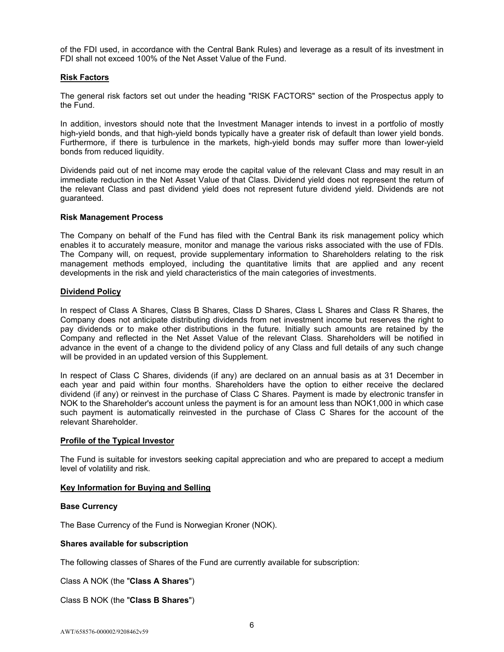of the FDI used, in accordance with the Central Bank Rules) and leverage as a result of its investment in FDI shall not exceed 100% of the Net Asset Value of the Fund.

# **Risk Factors**

The general risk factors set out under the heading "RISK FACTORS" section of the Prospectus apply to the Fund.

In addition, investors should note that the Investment Manager intends to invest in a portfolio of mostly high-yield bonds, and that high-yield bonds typically have a greater risk of default than lower yield bonds. Furthermore, if there is turbulence in the markets, high-yield bonds may suffer more than lower-yield bonds from reduced liquidity.

Dividends paid out of net income may erode the capital value of the relevant Class and may result in an immediate reduction in the Net Asset Value of that Class. Dividend yield does not represent the return of the relevant Class and past dividend yield does not represent future dividend yield. Dividends are not guaranteed.

## **Risk Management Process**

The Company on behalf of the Fund has filed with the Central Bank its risk management policy which enables it to accurately measure, monitor and manage the various risks associated with the use of FDIs. The Company will, on request, provide supplementary information to Shareholders relating to the risk management methods employed, including the quantitative limits that are applied and any recent developments in the risk and yield characteristics of the main categories of investments.

## **Dividend Policy**

In respect of Class A Shares, Class B Shares, Class D Shares, Class L Shares and Class R Shares, the Company does not anticipate distributing dividends from net investment income but reserves the right to pay dividends or to make other distributions in the future. Initially such amounts are retained by the Company and reflected in the Net Asset Value of the relevant Class. Shareholders will be notified in advance in the event of a change to the dividend policy of any Class and full details of any such change will be provided in an updated version of this Supplement.

In respect of Class C Shares, dividends (if any) are declared on an annual basis as at 31 December in each year and paid within four months. Shareholders have the option to either receive the declared dividend (if any) or reinvest in the purchase of Class C Shares. Payment is made by electronic transfer in NOK to the Shareholder's account unless the payment is for an amount less than NOK1,000 in which case such payment is automatically reinvested in the purchase of Class C Shares for the account of the relevant Shareholder.

# **Profile of the Typical Investor**

The Fund is suitable for investors seeking capital appreciation and who are prepared to accept a medium level of volatility and risk.

# **Key Information for Buying and Selling**

## **Base Currency**

The Base Currency of the Fund is Norwegian Kroner (NOK).

## **Shares available for subscription**

The following classes of Shares of the Fund are currently available for subscription:

Class A NOK (the "**Class A Shares**")

# Class B NOK (the "**Class B Shares**")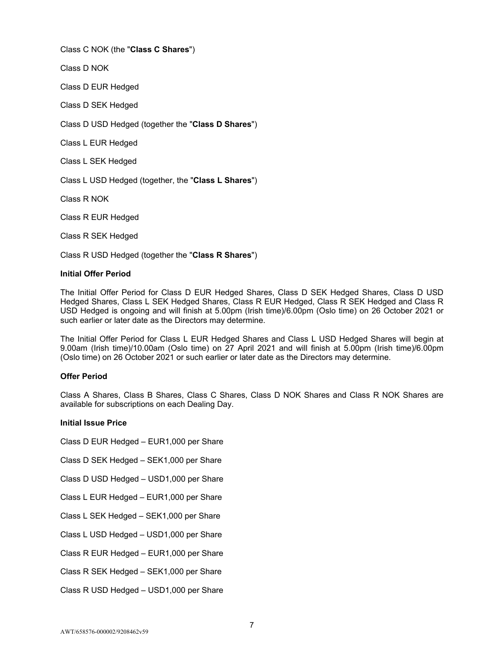Class C NOK (the "**Class C Shares**")

Class D NOK

Class D EUR Hedged

Class D SEK Hedged

Class D USD Hedged (together the "**Class D Shares**")

Class L EUR Hedged

Class L SEK Hedged

Class L USD Hedged (together, the "**Class L Shares**")

Class R NOK

Class R EUR Hedged

Class R SEK Hedged

Class R USD Hedged (together the "**Class R Shares**")

## **Initial Offer Period**

The Initial Offer Period for Class D EUR Hedged Shares, Class D SEK Hedged Shares, Class D USD Hedged Shares, Class L SEK Hedged Shares, Class R EUR Hedged, Class R SEK Hedged and Class R USD Hedged is ongoing and will finish at 5.00pm (Irish time)/6.00pm (Oslo time) on 26 October 2021 or such earlier or later date as the Directors may determine.

The Initial Offer Period for Class L EUR Hedged Shares and Class L USD Hedged Shares will begin at 9.00am (Irish time)/10.00am (Oslo time) on 27 April 2021 and will finish at 5.00pm (Irish time)/6.00pm (Oslo time) on 26 October 2021 or such earlier or later date as the Directors may determine.

# **Offer Period**

Class A Shares, Class B Shares, Class C Shares, Class D NOK Shares and Class R NOK Shares are available for subscriptions on each Dealing Day.

# **Initial Issue Price**

Class D EUR Hedged – EUR1,000 per Share

Class D SEK Hedged – SEK1,000 per Share

Class D USD Hedged – USD1,000 per Share

Class L EUR Hedged – EUR1,000 per Share

Class L SEK Hedged – SEK1,000 per Share

Class L USD Hedged – USD1,000 per Share

Class R EUR Hedged – EUR1,000 per Share

Class R SEK Hedged – SEK1,000 per Share

Class R USD Hedged – USD1,000 per Share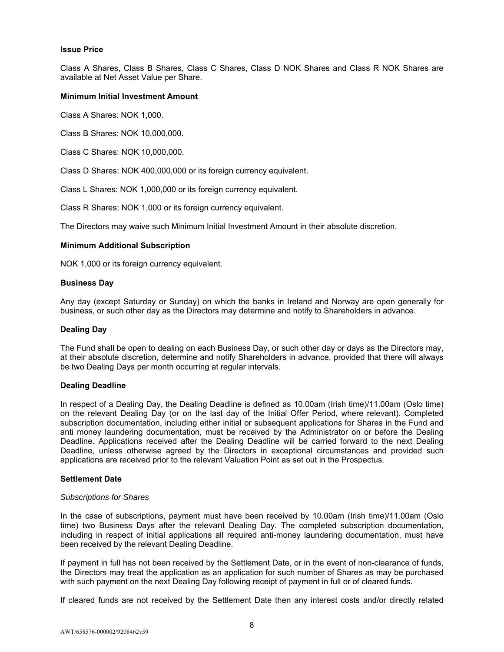## **Issue Price**

Class A Shares, Class B Shares, Class C Shares, Class D NOK Shares and Class R NOK Shares are available at Net Asset Value per Share.

## **Minimum Initial Investment Amount**

Class A Shares: NOK 1,000.

Class B Shares: NOK 10,000,000.

Class C Shares: NOK 10,000,000.

Class D Shares: NOK 400,000,000 or its foreign currency equivalent.

Class L Shares: NOK 1,000,000 or its foreign currency equivalent.

Class R Shares: NOK 1,000 or its foreign currency equivalent.

The Directors may waive such Minimum Initial Investment Amount in their absolute discretion.

## **Minimum Additional Subscription**

NOK 1,000 or its foreign currency equivalent.

## **Business Day**

Any day (except Saturday or Sunday) on which the banks in Ireland and Norway are open generally for business, or such other day as the Directors may determine and notify to Shareholders in advance.

## **Dealing Day**

The Fund shall be open to dealing on each Business Day, or such other day or days as the Directors may, at their absolute discretion, determine and notify Shareholders in advance, provided that there will always be two Dealing Days per month occurring at regular intervals.

## **Dealing Deadline**

In respect of a Dealing Day, the Dealing Deadline is defined as 10.00am (Irish time)/11.00am (Oslo time) on the relevant Dealing Day (or on the last day of the Initial Offer Period, where relevant). Completed subscription documentation, including either initial or subsequent applications for Shares in the Fund and anti money laundering documentation, must be received by the Administrator on or before the Dealing Deadline. Applications received after the Dealing Deadline will be carried forward to the next Dealing Deadline, unless otherwise agreed by the Directors in exceptional circumstances and provided such applications are received prior to the relevant Valuation Point as set out in the Prospectus.

## **Settlement Date**

## *Subscriptions for Shares*

In the case of subscriptions, payment must have been received by 10.00am (Irish time)/11.00am (Oslo time) two Business Days after the relevant Dealing Day. The completed subscription documentation, including in respect of initial applications all required anti-money laundering documentation, must have been received by the relevant Dealing Deadline.

If payment in full has not been received by the Settlement Date, or in the event of non-clearance of funds, the Directors may treat the application as an application for such number of Shares as may be purchased with such payment on the next Dealing Day following receipt of payment in full or of cleared funds.

If cleared funds are not received by the Settlement Date then any interest costs and/or directly related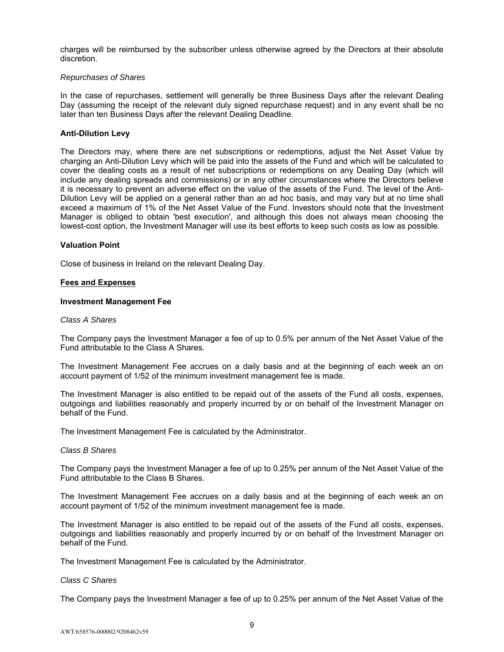charges will be reimbursed by the subscriber unless otherwise agreed by the Directors at their absolute discretion.

## *Repurchases of Shares*

In the case of repurchases, settlement will generally be three Business Days after the relevant Dealing Day (assuming the receipt of the relevant duly signed repurchase request) and in any event shall be no later than ten Business Days after the relevant Dealing Deadline.

## **Anti-Dilution Levy**

The Directors may, where there are net subscriptions or redemptions, adjust the Net Asset Value by charging an Anti-Dilution Levy which will be paid into the assets of the Fund and which will be calculated to cover the dealing costs as a result of net subscriptions or redemptions on any Dealing Day (which will include any dealing spreads and commissions) or in any other circumstances where the Directors believe it is necessary to prevent an adverse effect on the value of the assets of the Fund. The level of the Anti-Dilution Levy will be applied on a general rather than an ad hoc basis, and may vary but at no time shall exceed a maximum of 1% of the Net Asset Value of the Fund. Investors should note that the Investment Manager is obliged to obtain 'best execution', and although this does not always mean choosing the lowest-cost option, the Investment Manager will use its best efforts to keep such costs as low as possible.

## **Valuation Point**

Close of business in Ireland on the relevant Dealing Day.

## **Fees and Expenses**

## **Investment Management Fee**

## *Class A Shares*

The Company pays the Investment Manager a fee of up to 0.5% per annum of the Net Asset Value of the Fund attributable to the Class A Shares.

The Investment Management Fee accrues on a daily basis and at the beginning of each week an on account payment of 1/52 of the minimum investment management fee is made.

The Investment Manager is also entitled to be repaid out of the assets of the Fund all costs, expenses, outgoings and liabilities reasonably and properly incurred by or on behalf of the Investment Manager on behalf of the Fund.

The Investment Management Fee is calculated by the Administrator.

## *Class B Shares*

The Company pays the Investment Manager a fee of up to 0.25% per annum of the Net Asset Value of the Fund attributable to the Class B Shares.

The Investment Management Fee accrues on a daily basis and at the beginning of each week an on account payment of 1/52 of the minimum investment management fee is made.

The Investment Manager is also entitled to be repaid out of the assets of the Fund all costs, expenses, outgoings and liabilities reasonably and properly incurred by or on behalf of the Investment Manager on behalf of the Fund.

The Investment Management Fee is calculated by the Administrator.

## *Class C Shares*

The Company pays the Investment Manager a fee of up to 0.25% per annum of the Net Asset Value of the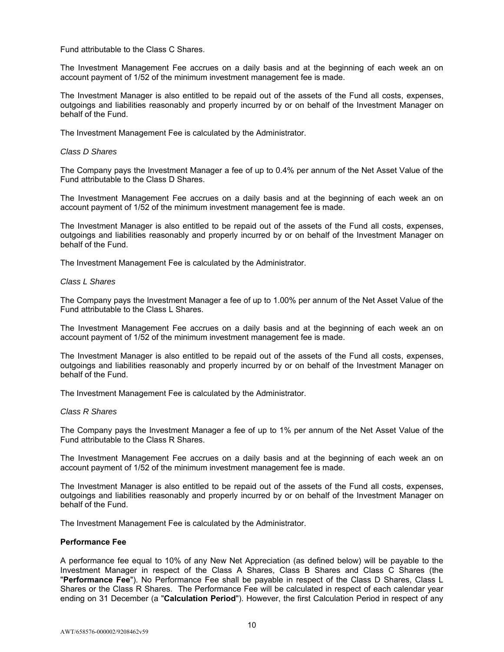Fund attributable to the Class C Shares.

The Investment Management Fee accrues on a daily basis and at the beginning of each week an on account payment of 1/52 of the minimum investment management fee is made.

The Investment Manager is also entitled to be repaid out of the assets of the Fund all costs, expenses, outgoings and liabilities reasonably and properly incurred by or on behalf of the Investment Manager on behalf of the Fund.

The Investment Management Fee is calculated by the Administrator.

## *Class D Shares*

The Company pays the Investment Manager a fee of up to 0.4% per annum of the Net Asset Value of the Fund attributable to the Class D Shares.

The Investment Management Fee accrues on a daily basis and at the beginning of each week an on account payment of 1/52 of the minimum investment management fee is made.

The Investment Manager is also entitled to be repaid out of the assets of the Fund all costs, expenses, outgoings and liabilities reasonably and properly incurred by or on behalf of the Investment Manager on behalf of the Fund.

The Investment Management Fee is calculated by the Administrator.

#### *Class L Shares*

The Company pays the Investment Manager a fee of up to 1.00% per annum of the Net Asset Value of the Fund attributable to the Class L Shares.

The Investment Management Fee accrues on a daily basis and at the beginning of each week an on account payment of 1/52 of the minimum investment management fee is made.

The Investment Manager is also entitled to be repaid out of the assets of the Fund all costs, expenses, outgoings and liabilities reasonably and properly incurred by or on behalf of the Investment Manager on behalf of the Fund.

The Investment Management Fee is calculated by the Administrator.

#### *Class R Shares*

The Company pays the Investment Manager a fee of up to 1% per annum of the Net Asset Value of the Fund attributable to the Class R Shares.

The Investment Management Fee accrues on a daily basis and at the beginning of each week an on account payment of 1/52 of the minimum investment management fee is made.

The Investment Manager is also entitled to be repaid out of the assets of the Fund all costs, expenses, outgoings and liabilities reasonably and properly incurred by or on behalf of the Investment Manager on behalf of the Fund.

The Investment Management Fee is calculated by the Administrator.

## **Performance Fee**

A performance fee equal to 10% of any New Net Appreciation (as defined below) will be payable to the Investment Manager in respect of the Class A Shares, Class B Shares and Class C Shares (the "**Performance Fee**"). No Performance Fee shall be payable in respect of the Class D Shares, Class L Shares or the Class R Shares. The Performance Fee will be calculated in respect of each calendar year ending on 31 December (a "**Calculation Period**"). However, the first Calculation Period in respect of any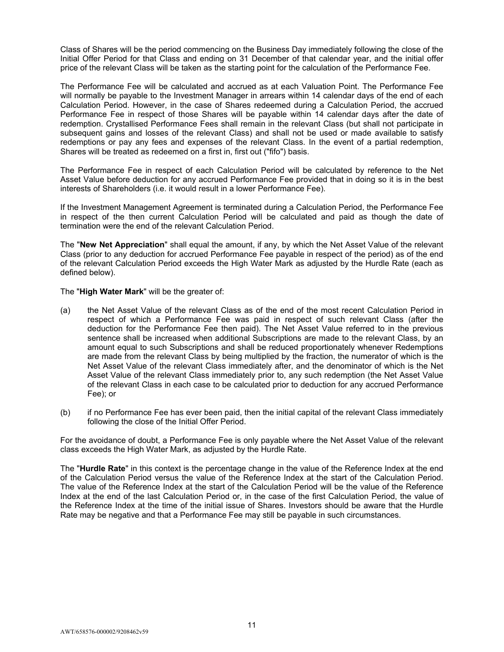Class of Shares will be the period commencing on the Business Day immediately following the close of the Initial Offer Period for that Class and ending on 31 December of that calendar year, and the initial offer price of the relevant Class will be taken as the starting point for the calculation of the Performance Fee.

The Performance Fee will be calculated and accrued as at each Valuation Point. The Performance Fee will normally be payable to the Investment Manager in arrears within 14 calendar days of the end of each Calculation Period. However, in the case of Shares redeemed during a Calculation Period, the accrued Performance Fee in respect of those Shares will be payable within 14 calendar days after the date of redemption. Crystallised Performance Fees shall remain in the relevant Class (but shall not participate in subsequent gains and losses of the relevant Class) and shall not be used or made available to satisfy redemptions or pay any fees and expenses of the relevant Class. In the event of a partial redemption, Shares will be treated as redeemed on a first in, first out ("fifo") basis.

The Performance Fee in respect of each Calculation Period will be calculated by reference to the Net Asset Value before deduction for any accrued Performance Fee provided that in doing so it is in the best interests of Shareholders (i.e. it would result in a lower Performance Fee).

If the Investment Management Agreement is terminated during a Calculation Period, the Performance Fee in respect of the then current Calculation Period will be calculated and paid as though the date of termination were the end of the relevant Calculation Period.

The "**New Net Appreciation**" shall equal the amount, if any, by which the Net Asset Value of the relevant Class (prior to any deduction for accrued Performance Fee payable in respect of the period) as of the end of the relevant Calculation Period exceeds the High Water Mark as adjusted by the Hurdle Rate (each as defined below).

The "**High Water Mark**" will be the greater of:

- (a) the Net Asset Value of the relevant Class as of the end of the most recent Calculation Period in respect of which a Performance Fee was paid in respect of such relevant Class (after the deduction for the Performance Fee then paid). The Net Asset Value referred to in the previous sentence shall be increased when additional Subscriptions are made to the relevant Class, by an amount equal to such Subscriptions and shall be reduced proportionately whenever Redemptions are made from the relevant Class by being multiplied by the fraction, the numerator of which is the Net Asset Value of the relevant Class immediately after, and the denominator of which is the Net Asset Value of the relevant Class immediately prior to, any such redemption (the Net Asset Value of the relevant Class in each case to be calculated prior to deduction for any accrued Performance Fee); or
- (b) if no Performance Fee has ever been paid, then the initial capital of the relevant Class immediately following the close of the Initial Offer Period.

For the avoidance of doubt, a Performance Fee is only payable where the Net Asset Value of the relevant class exceeds the High Water Mark, as adjusted by the Hurdle Rate.

The "**Hurdle Rate**" in this context is the percentage change in the value of the Reference Index at the end of the Calculation Period versus the value of the Reference Index at the start of the Calculation Period. The value of the Reference Index at the start of the Calculation Period will be the value of the Reference Index at the end of the last Calculation Period or, in the case of the first Calculation Period, the value of the Reference Index at the time of the initial issue of Shares. Investors should be aware that the Hurdle Rate may be negative and that a Performance Fee may still be payable in such circumstances.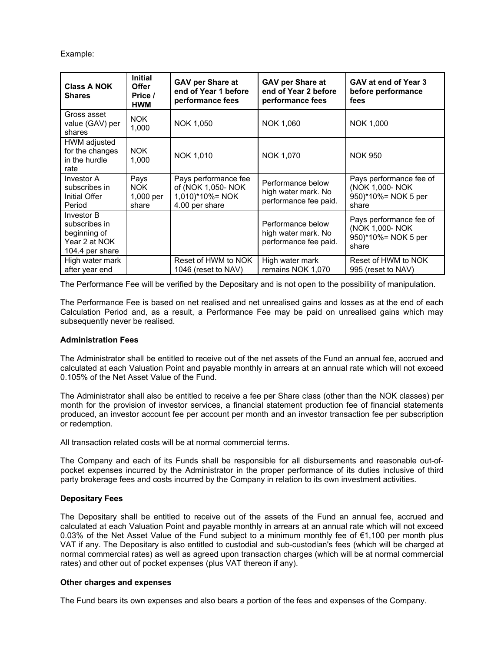Example:

| <b>Class A NOK</b><br><b>Shares</b>                                             | <b>Initial</b><br><b>Offer</b><br>Price /<br><b>HWM</b> | <b>GAV per Share at</b><br>end of Year 1 before<br>performance fees             | <b>GAV per Share at</b><br>end of Year 2 before<br>performance fees | GAV at end of Year 3<br>before performance<br>fees                         |
|---------------------------------------------------------------------------------|---------------------------------------------------------|---------------------------------------------------------------------------------|---------------------------------------------------------------------|----------------------------------------------------------------------------|
| Gross asset<br>value (GAV) per<br>shares                                        | <b>NOK</b><br>1,000                                     | NOK 1,050                                                                       | NOK 1,060                                                           | NOK 1,000                                                                  |
| HWM adjusted<br>for the changes<br>in the hurdle<br>rate                        | <b>NOK</b><br>1,000                                     | NOK 1,010                                                                       | NOK 1,070                                                           | <b>NOK 950</b>                                                             |
| Investor A<br>subscribes in<br>Initial Offer<br>Period                          | Pays<br><b>NOK</b><br>1,000 per<br>share                | Pays performance fee<br>of (NOK 1,050- NOK<br>1,010)*10%= NOK<br>4.00 per share | Performance below<br>high water mark. No<br>performance fee paid.   | Pays performance fee of<br>(NOK 1,000- NOK<br>950)*10%= NOK 5 per<br>share |
| Investor B<br>subscribes in<br>beginning of<br>Year 2 at NOK<br>104.4 per share |                                                         |                                                                                 | Performance below<br>high water mark. No<br>performance fee paid.   | Pays performance fee of<br>(NOK 1,000- NOK<br>950)*10%= NOK 5 per<br>share |
| High water mark<br>after year end                                               |                                                         | Reset of HWM to NOK<br>1046 (reset to NAV)                                      | High water mark<br>remains NOK 1,070                                | Reset of HWM to NOK<br>995 (reset to NAV)                                  |

The Performance Fee will be verified by the Depositary and is not open to the possibility of manipulation.

The Performance Fee is based on net realised and net unrealised gains and losses as at the end of each Calculation Period and, as a result, a Performance Fee may be paid on unrealised gains which may subsequently never be realised.

# **Administration Fees**

The Administrator shall be entitled to receive out of the net assets of the Fund an annual fee, accrued and calculated at each Valuation Point and payable monthly in arrears at an annual rate which will not exceed 0.105% of the Net Asset Value of the Fund.

The Administrator shall also be entitled to receive a fee per Share class (other than the NOK classes) per month for the provision of investor services, a financial statement production fee of financial statements produced, an investor account fee per account per month and an investor transaction fee per subscription or redemption.

All transaction related costs will be at normal commercial terms.

The Company and each of its Funds shall be responsible for all disbursements and reasonable out-ofpocket expenses incurred by the Administrator in the proper performance of its duties inclusive of third party brokerage fees and costs incurred by the Company in relation to its own investment activities.

# **Depositary Fees**

The Depositary shall be entitled to receive out of the assets of the Fund an annual fee, accrued and calculated at each Valuation Point and payable monthly in arrears at an annual rate which will not exceed 0.03% of the Net Asset Value of the Fund subject to a minimum monthly fee of €1,100 per month plus VAT if any. The Depositary is also entitled to custodial and sub-custodian's fees (which will be charged at normal commercial rates) as well as agreed upon transaction charges (which will be at normal commercial rates) and other out of pocket expenses (plus VAT thereon if any).

# **Other charges and expenses**

The Fund bears its own expenses and also bears a portion of the fees and expenses of the Company.